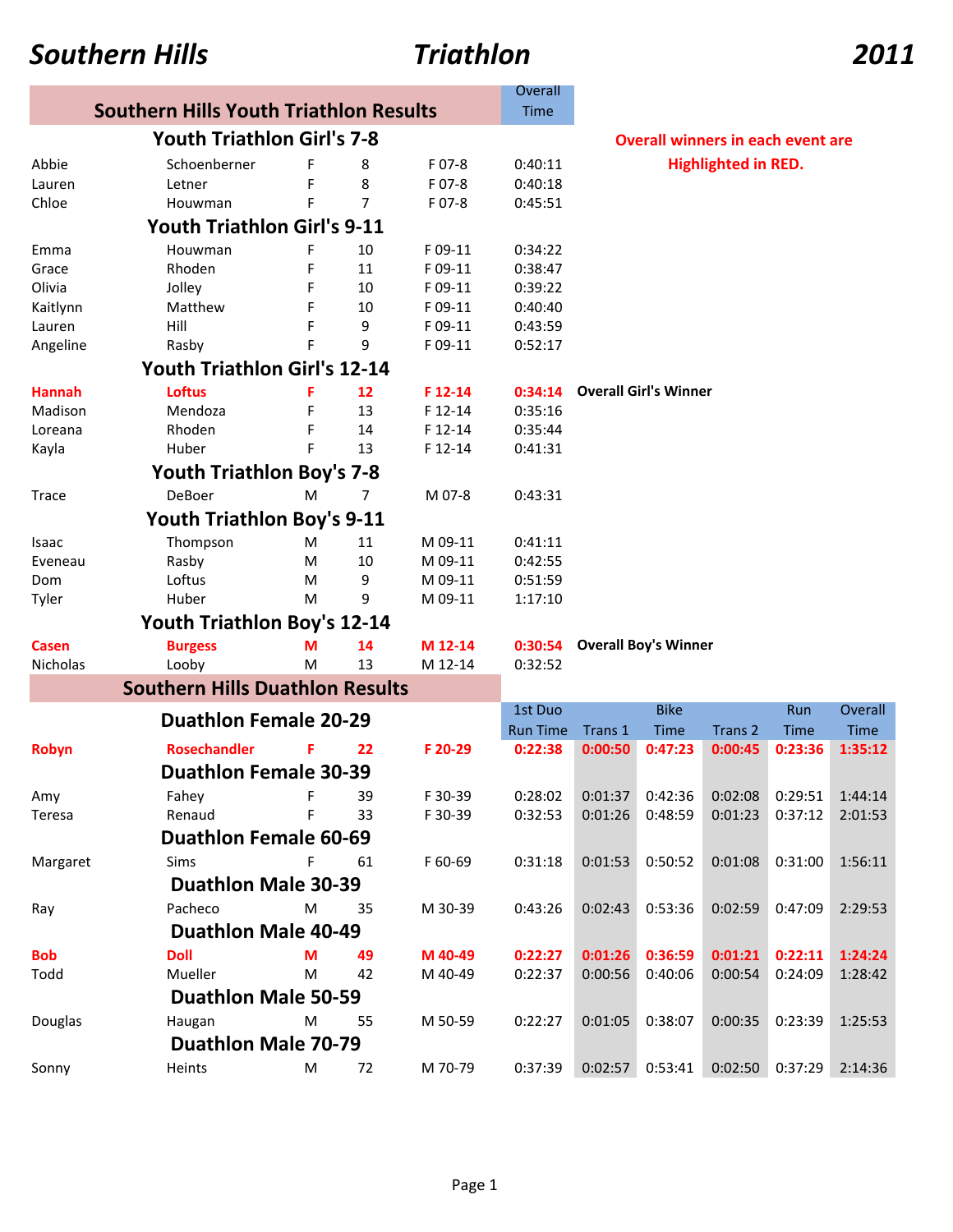### *Southern Hills Triathlon 2011*

|                                               |                                        |   |                |         | Overall         |                                       |                              |                                          |                 |             |  |  |  |
|-----------------------------------------------|----------------------------------------|---|----------------|---------|-----------------|---------------------------------------|------------------------------|------------------------------------------|-----------------|-------------|--|--|--|
| <b>Southern Hills Youth Triathlon Results</b> |                                        |   |                |         |                 |                                       |                              |                                          |                 |             |  |  |  |
|                                               | <b>Youth Triathlon Girl's 7-8</b>      |   |                |         |                 |                                       |                              | <b>Overall winners in each event are</b> |                 |             |  |  |  |
| F 07-8<br>Schoenberner<br>Abbie<br>F<br>8     |                                        |   |                |         |                 | <b>Highlighted in RED.</b><br>0:40:11 |                              |                                          |                 |             |  |  |  |
| Lauren                                        | Letner                                 | F | 8              | F 07-8  | 0:40:18         |                                       |                              |                                          |                 |             |  |  |  |
| Chloe                                         | Houwman                                | F | $\overline{7}$ | F 07-8  | 0:45:51         |                                       |                              |                                          |                 |             |  |  |  |
|                                               | <b>Youth Triathlon Girl's 9-11</b>     |   |                |         |                 |                                       |                              |                                          |                 |             |  |  |  |
| Emma                                          | Houwman                                | F | 10             | F 09-11 | 0:34:22         |                                       |                              |                                          |                 |             |  |  |  |
| Grace                                         | Rhoden                                 | F | 11             | F 09-11 | 0:38:47         |                                       |                              |                                          |                 |             |  |  |  |
| Olivia                                        | Jolley                                 | F | 10             | F 09-11 | 0:39:22         |                                       |                              |                                          |                 |             |  |  |  |
| Kaitlynn                                      | Matthew                                | F | 10             | F 09-11 | 0:40:40         |                                       |                              |                                          |                 |             |  |  |  |
| Lauren                                        | Hill                                   | F | 9              | F 09-11 | 0:43:59         |                                       |                              |                                          |                 |             |  |  |  |
| Angeline                                      | Rasby                                  | F | 9              | F 09-11 | 0:52:17         |                                       |                              |                                          |                 |             |  |  |  |
| <b>Youth Triathlon Girl's 12-14</b>           |                                        |   |                |         |                 |                                       |                              |                                          |                 |             |  |  |  |
| <b>Hannah</b>                                 | <b>Loftus</b>                          | F | 12             | F 12-14 | 0:34:14         |                                       | <b>Overall Girl's Winner</b> |                                          |                 |             |  |  |  |
| Madison                                       | Mendoza                                | F | 13             | F 12-14 | 0:35:16         |                                       |                              |                                          |                 |             |  |  |  |
| Loreana                                       | Rhoden                                 | F | 14             | F 12-14 | 0:35:44         |                                       |                              |                                          |                 |             |  |  |  |
| Kayla                                         | Huber                                  | F | 13             | F 12-14 | 0:41:31         |                                       |                              |                                          |                 |             |  |  |  |
| Youth Triathlon Boy's 7-8                     |                                        |   |                |         |                 |                                       |                              |                                          |                 |             |  |  |  |
| Trace                                         | DeBoer                                 | M | 7              | M 07-8  | 0:43:31         |                                       |                              |                                          |                 |             |  |  |  |
|                                               | <b>Youth Triathlon Boy's 9-11</b>      |   |                |         |                 |                                       |                              |                                          |                 |             |  |  |  |
| Isaac                                         | Thompson                               | м | 11             | M 09-11 | 0:41:11         |                                       |                              |                                          |                 |             |  |  |  |
| Eveneau                                       | Rasby                                  | м | 10             | M 09-11 | 0:42:55         |                                       |                              |                                          |                 |             |  |  |  |
| Dom                                           | Loftus                                 | M | 9              | M 09-11 | 0:51:59         |                                       |                              |                                          |                 |             |  |  |  |
| Tyler                                         | Huber                                  | м | 9              | M 09-11 | 1:17:10         |                                       |                              |                                          |                 |             |  |  |  |
|                                               | <b>Youth Triathlon Boy's 12-14</b>     |   |                |         |                 |                                       |                              |                                          |                 |             |  |  |  |
| <b>Casen</b>                                  | <b>Burgess</b>                         | М | 14             | M 12-14 | 0:30:54         |                                       | <b>Overall Boy's Winner</b>  |                                          |                 |             |  |  |  |
| Nicholas                                      | Looby                                  | M | 13             | M 12-14 | 0:32:52         |                                       |                              |                                          |                 |             |  |  |  |
|                                               | <b>Southern Hills Duathlon Results</b> |   |                |         |                 |                                       |                              |                                          |                 |             |  |  |  |
|                                               | <b>Duathlon Female 20-29</b>           |   |                |         | 1st Duo         |                                       | <b>Bike</b>                  |                                          | Run             | Overall     |  |  |  |
|                                               |                                        |   |                |         | <b>Run Time</b> | Trans 1                               | <b>Time</b>                  | Trans <sub>2</sub>                       | <b>Time</b>     | <b>Time</b> |  |  |  |
| Robyn                                         | <b>Rosechandler</b>                    |   | 22             | F 20-29 | 0:22:38         | 0:00:50                               | 0:47:23                      | 0:00:45                                  | 0:23:36         | 1:35:12     |  |  |  |
|                                               | <b>Duathlon Female 30-39</b>           |   |                |         |                 |                                       |                              |                                          |                 |             |  |  |  |
| Amy                                           | Fahey                                  | F | 39             | F 30-39 | 0:28:02         | 0:01:37                               | 0:42:36                      | 0:02:08                                  | 0:29:51         | 1:44:14     |  |  |  |
| Teresa                                        | Renaud                                 | F | 33             | F 30-39 | 0:32:53         | 0:01:26                               | 0:48:59                      | 0:01:23                                  | 0:37:12         | 2:01:53     |  |  |  |
|                                               | <b>Duathlon Female 60-69</b>           |   |                |         |                 |                                       |                              |                                          |                 |             |  |  |  |
| Margaret                                      | Sims                                   | F | 61             | F 60-69 | 0:31:18         | 0:01:53                               | 0:50:52                      | 0:01:08                                  | 0:31:00         | 1:56:11     |  |  |  |
|                                               | <b>Duathlon Male 30-39</b>             |   |                |         |                 |                                       |                              |                                          |                 |             |  |  |  |
| Ray                                           | Pacheco                                | M | 35             | M 30-39 | 0:43:26         | 0:02:43                               | 0:53:36                      | 0:02:59                                  | 0:47:09         | 2:29:53     |  |  |  |
|                                               | <b>Duathlon Male 40-49</b>             |   |                |         |                 |                                       |                              |                                          |                 |             |  |  |  |
| <b>Bob</b>                                    | <b>Doll</b>                            | М | 49             | M 40-49 | 0:22:27         | 0:01:26                               | 0:36:59                      | 0:01:21                                  | 0:22:11         | 1:24:24     |  |  |  |
| Todd                                          | Mueller                                | M | 42             | M 40-49 | 0:22:37         | 0:00:56                               | 0:40:06                      | 0:00:54                                  | 0:24:09         | 1:28:42     |  |  |  |
|                                               | <b>Duathlon Male 50-59</b>             |   |                |         |                 |                                       |                              |                                          |                 |             |  |  |  |
| Douglas                                       | Haugan                                 | M | 55             | M 50-59 | 0:22:27         | 0:01:05                               | 0:38:07                      | 0:00:35                                  | 0:23:39         | 1:25:53     |  |  |  |
|                                               | <b>Duathlon Male 70-79</b>             |   |                |         |                 |                                       |                              |                                          |                 |             |  |  |  |
| Sonny                                         | Heints                                 | M | 72             | M 70-79 | 0:37:39         | 0:02:57                               | 0:53:41                      |                                          | 0:02:50 0:37:29 | 2:14:36     |  |  |  |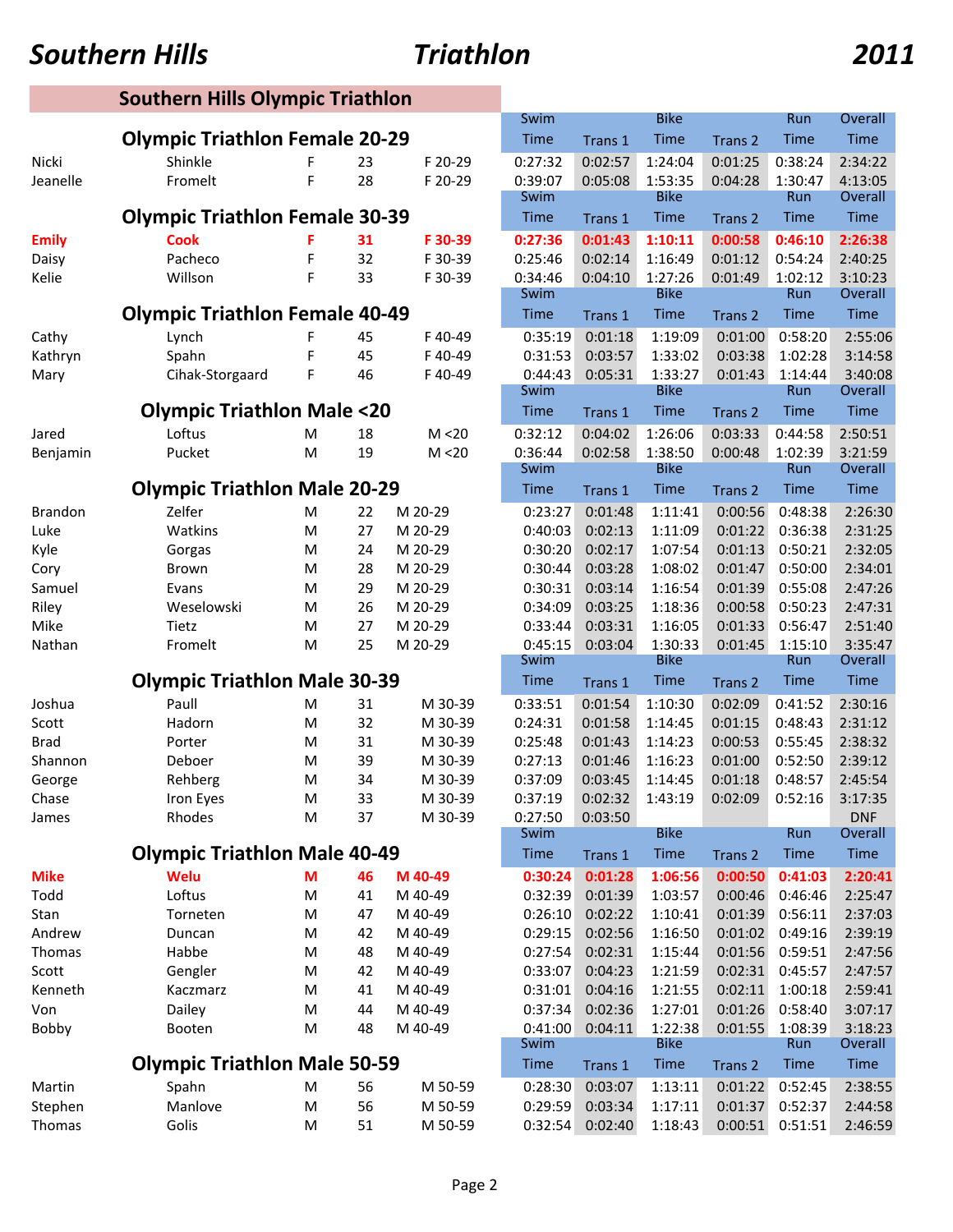| <b>Southern Hills</b>                   |                                       |        | Triathlon           | 2011               |                     |                    |                        |                    |                    |                        |  |
|-----------------------------------------|---------------------------------------|--------|---------------------|--------------------|---------------------|--------------------|------------------------|--------------------|--------------------|------------------------|--|
| <b>Southern Hills Olympic Triathlon</b> |                                       |        |                     |                    |                     |                    |                        |                    |                    |                        |  |
|                                         |                                       |        |                     |                    | Swim                |                    | <b>Bike</b>            |                    | Run                | Overall                |  |
|                                         | <b>Olympic Triathlon Female 20-29</b> |        |                     |                    | Time                | Trans 1            | <b>Time</b>            | Trans 2            | Time               | <b>Time</b>            |  |
| Nicki                                   | Shinkle                               |        | 23                  | F 20-29            | 0:27:32             | 0:02:57            | 1:24:04                | 0:01:25            | 0:38:24            | 2:34:22                |  |
| Jeanelle                                | Fromelt                               | F      | 28                  | F 20-29            | 0:39:07             | 0:05:08            | 1:53:35<br><b>Bike</b> | 0:04:28            | 1:30:47<br>Run     | 4:13:05<br>Overall     |  |
|                                         | <b>Olympic Triathlon Female 30-39</b> |        | Swim<br>Time        | Trans 1            | <b>Time</b>         |                    | Time                   | Time               |                    |                        |  |
|                                         | Cook                                  | F      | 31                  | F 30-39            | 0:27:36             | 0:01:43            | 1:10:11                | Trans 2<br>0:00:58 | 0:46:10            | 2:26:38                |  |
| <b>Emily</b><br>Daisy                   | Pacheco                               | F      | 32                  | F 30-39            | 0:25:46             | 0:02:14            | 1:16:49                | 0:01:12            | 0:54:24            | 2:40:25                |  |
| Kelie                                   | Willson                               | F      | 33                  | F 30-39            | 0:34:46             | 0:04:10            | 1:27:26                | 0:01:49            | 1:02:12            | 3:10:23                |  |
|                                         |                                       |        | Swim                |                    | <b>Bike</b>         |                    | Run                    | Overall            |                    |                        |  |
|                                         | <b>Olympic Triathlon Female 40-49</b> |        |                     | Time               | Trans 1             | <b>Time</b>        | Trans 2                | Time               | <b>Time</b>        |                        |  |
| Cathy                                   | Lynch                                 | F      | 45                  | F40-49             | 0:35:19             | 0:01:18            | 1:19:09                | 0:01:00            | 0:58:20            | 2:55:06                |  |
| Kathryn                                 | Spahn                                 | F      | 45                  | F40-49             | 0:31:53             | 0:03:57            | 1:33:02                | 0:03:38            | 1:02:28            | 3:14:58                |  |
| Mary                                    | Cihak-Storgaard                       | F      | 46                  | F40-49             | 0:44:43             | 0:05:31            | 1:33:27                | 0:01:43            | 1:14:44            | 3:40:08                |  |
|                                         |                                       |        |                     |                    | Swim                |                    | <b>Bike</b>            |                    | Run                | Overall                |  |
|                                         | <b>Olympic Triathlon Male &lt;20</b>  |        |                     |                    | <b>Time</b>         | Trans 1            | Time                   | Trans 2            | Time               | <b>Time</b>            |  |
| Jared                                   | Loftus                                | M      | 18                  | M < 20             | 0:32:12             | 0:04:02            | 1:26:06                | 0:03:33            | 0:44:58            | 2:50:51                |  |
| Benjamin                                | Pucket                                | M      | 19                  | M < 20             | 0:36:44<br>Swim     | 0:02:58            | 1:38:50<br><b>Bike</b> | 0:00:48            | 1:02:39<br>Run     | 3:21:59<br>Overall     |  |
|                                         | <b>Olympic Triathlon Male 20-29</b>   |        |                     |                    | Time                | Trans 1            | <b>Time</b>            | Trans 2            | Time               | <b>Time</b>            |  |
| <b>Brandon</b>                          | Zelfer                                | M      | 22                  | M 20-29            | 0:23:27             | 0:01:48            | 1:11:41                | 0:00:56            | 0:48:38            | 2:26:30                |  |
| Luke                                    | Watkins                               | M      | 27                  | M 20-29            | 0:40:03             | 0:02:13            | 1:11:09                | 0:01:22            | 0:36:38            | 2:31:25                |  |
| Kyle                                    | Gorgas                                | M      | 24                  | M 20-29            | 0:30:20             | 0:02:17            | 1:07:54                | 0:01:13            | 0:50:21            | 2:32:05                |  |
| Cory                                    | Brown                                 | M      | 28                  | M 20-29            | 0:30:44             | 0:03:28            | 1:08:02                | 0:01:47            | 0:50:00            | 2:34:01                |  |
| Samuel                                  | Evans                                 | M      | 29                  | M 20-29            | 0:30:31             | 0:03:14            | 1:16:54                | 0:01:39            | 0:55:08            | 2:47:26                |  |
| Riley                                   | Weselowski                            | M      | 26                  | M 20-29            | 0:34:09             | 0:03:25            | 1:18:36                | 0:00:58            | 0:50:23            | 2:47:31                |  |
| Mike                                    | Tietz                                 | M      | 27                  | M 20-29            | 0:33:44             | 0:03:31            | 1:16:05                | 0:01:33            | 0:56:47            | 2:51:40                |  |
| Nathan                                  | Fromelt                               | M      | 25                  | M 20-29            | 0:45:15             | 0:03:04            | 1:30:33<br><b>Bike</b> | 0:01:45            | 1:15:10<br>Run     | 3:35:47                |  |
|                                         | <b>Olympic Triathlon Male 30-39</b>   |        |                     |                    | Swim<br><b>Time</b> | Trans 1            | <b>Time</b>            | Trans <sub>2</sub> | Time               | Overall<br><b>Time</b> |  |
| Joshua                                  | Paull                                 | M      | 31                  | M 30-39            | 0:33:51             | 0:01:54            | 1:10:30                | 0:02:09            | 0:41:52            | 2:30:16                |  |
| Scott                                   | Hadorn                                | M      | 32                  | M 30-39            | 0:24:31             | 0:01:58            | 1:14:45                | 0:01:15            | 0:48:43            | 2:31:12                |  |
| <b>Brad</b>                             | Porter                                | M      | 31                  | M 30-39            | 0:25:48             | 0:01:43            | 1:14:23                | 0:00:53            | 0:55:45            | 2:38:32                |  |
| Shannon                                 | Deboer                                | M      | 39                  | M 30-39            | 0:27:13             | 0:01:46            | 1:16:23                | 0:01:00            | 0:52:50            | 2:39:12                |  |
| George                                  | Rehberg                               | M      | 34                  | M 30-39            | 0:37:09             | 0:03:45            | 1:14:45                | 0:01:18            | 0:48:57            | 2:45:54                |  |
| Chase                                   | Iron Eyes                             | M      | 33                  | M 30-39            | 0:37:19             | 0:02:32            | 1:43:19                | 0:02:09            | 0:52:16            | 3:17:35                |  |
| James                                   | Rhodes                                | M      | 37                  | M 30-39            | 0:27:50             | 0:03:50            |                        |                    |                    | <b>DNF</b>             |  |
|                                         |                                       |        |                     |                    | Swim                |                    | <b>Bike</b>            |                    | Run                | Overall                |  |
|                                         | <b>Olympic Triathlon Male 40-49</b>   |        |                     |                    | <b>Time</b>         | Trans 1            | <b>Time</b>            | Trans 2            | <b>Time</b>        | <b>Time</b>            |  |
| <b>Mike</b>                             | Welu                                  | M      | 46                  | M 40-49            | 0:30:24             | 0:01:28            | 1:06:56                | 0:00:50            | 0:41:03            | 2:20:41                |  |
| Todd<br>Stan                            | Loftus<br>Torneten                    | M<br>M | 41<br>47            | M 40-49<br>M 40-49 | 0:32:39<br>0:26:10  | 0:01:39<br>0:02:22 | 1:03:57<br>1:10:41     | 0:00:46<br>0:01:39 | 0:46:46<br>0:56:11 | 2:25:47<br>2:37:03     |  |
| Andrew                                  | Duncan                                | M      | 42                  | M 40-49            | 0:29:15             | 0:02:56            | 1:16:50                | 0:01:02            | 0:49:16            | 2:39:19                |  |
| Thomas                                  | Habbe                                 | M      | 48                  | M 40-49            | 0:27:54             | 0:02:31            | 1:15:44                | 0:01:56            | 0:59:51            | 2:47:56                |  |
| Scott                                   | Gengler                               | M      | 42                  | M 40-49            | 0:33:07             | 0:04:23            | 1:21:59                | 0:02:31            | 0:45:57            | 2:47:57                |  |
| Kenneth                                 | Kaczmarz                              | M      | 41                  | M 40-49            | 0:31:01             | 0:04:16            | 1:21:55                | 0:02:11            | 1:00:18            | 2:59:41                |  |
| Von                                     | Dailey                                | M      | 44                  | M 40-49            | 0:37:34             | 0:02:36            | 1:27:01                | 0:01:26            | 0:58:40            | 3:07:17                |  |
| Bobby                                   | Booten                                | M      | 48                  | M 40-49            | 0:41:00             | 0:04:11            | 1:22:38                | 0:01:55            | 1:08:39            | 3:18:23                |  |
|                                         |                                       |        | Swim<br><b>Time</b> |                    | <b>Bike</b>         |                    | Run                    | Overall            |                    |                        |  |
|                                         | <b>Olympic Triathlon Male 50-59</b>   |        |                     |                    |                     | Trans 1            | Time                   | Trans 2            | <b>Time</b>        | <b>Time</b>            |  |
| Martin                                  | Spahn                                 | M      | 56                  | M 50-59            | 0:28:30             | 0:03:07            | 1:13:11                | 0:01:22            | 0:52:45            | 2:38:55                |  |
| Stephen                                 | Manlove                               | M      | 56                  | M 50-59            | 0:29:59             | 0:03:34            | 1:17:11                | 0:01:37            | 0:52:37            | 2:44:58                |  |
| Thomas                                  | Golis                                 | M      | 51                  | M 50-59            | 0:32:54             | 0:02:40            | 1:18:43                | 0:00:51            | 0:51:51            | 2:46:59                |  |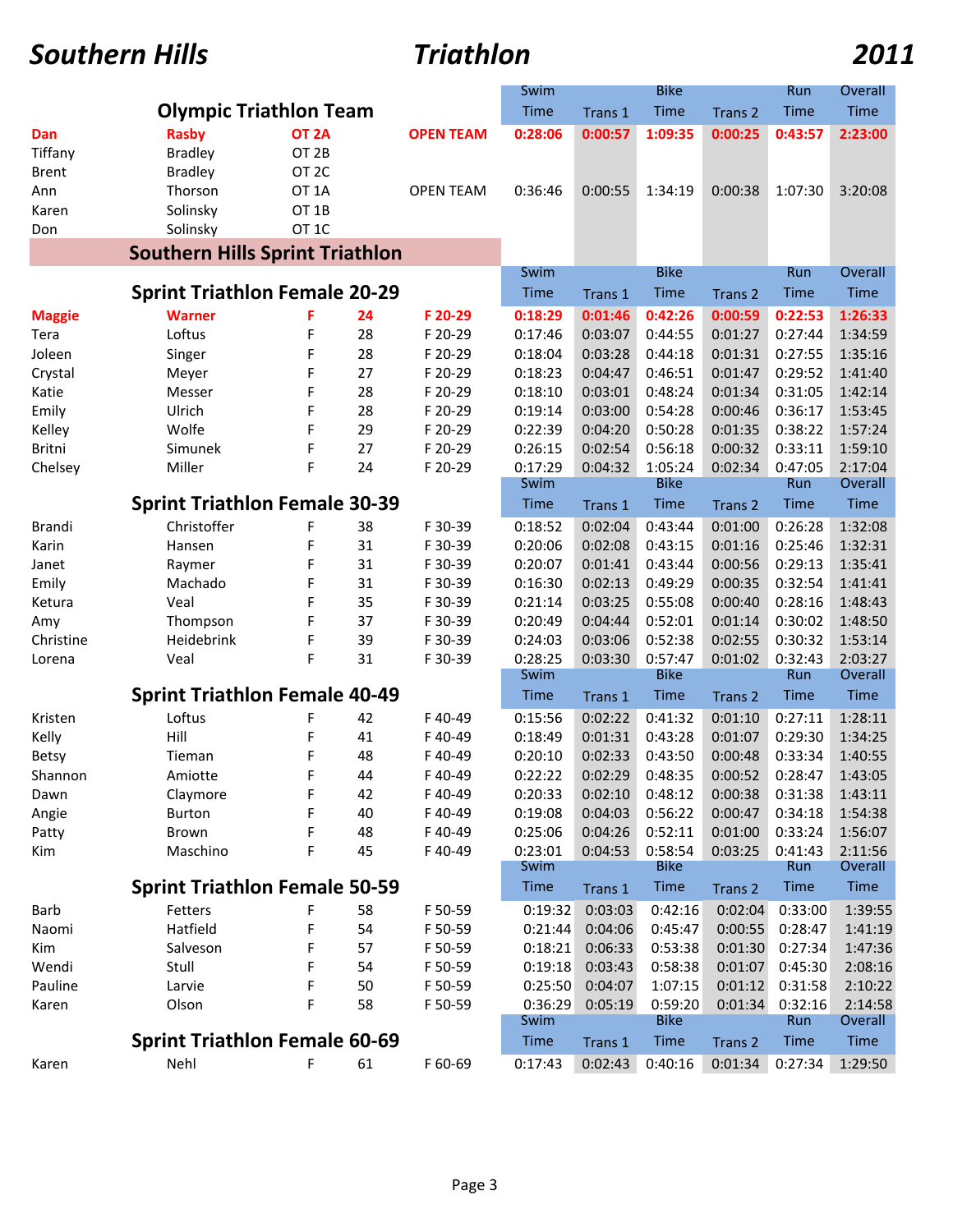# *Southern Hills Triathlon 2011*

|                                      |                                                  |                                                          |         |                     | Swim                |             | <b>Bike</b>            |         | Run            | Overall            |
|--------------------------------------|--------------------------------------------------|----------------------------------------------------------|---------|---------------------|---------------------|-------------|------------------------|---------|----------------|--------------------|
|                                      | <b>Olympic Triathlon Team</b>                    |                                                          |         |                     | Time                | Trans 1     | Time                   | Trans 2 | Time           | <b>Time</b>        |
| Dan<br>Tiffany<br><b>Brent</b>       | <b>Rasby</b><br><b>Bradley</b><br><b>Bradley</b> | OT <sub>2A</sub><br>OT <sub>2B</sub><br>OT <sub>2C</sub> |         | <b>OPEN TEAM</b>    | 0:28:06             | 0:00:57     | 1:09:35                | 0:00:25 | 0:43:57        | 2:23:00            |
| Ann<br>Karen<br>Don                  | Thorson<br>Solinsky<br>Solinsky                  | OT <sub>1</sub> A<br>OT 1B<br>OT <sub>1</sub> C          |         | <b>OPEN TEAM</b>    | 0:36:46             | 0:00:55     | 1:34:19                | 0:00:38 | 1:07:30        | 3:20:08            |
|                                      | <b>Southern Hills Sprint Triathlon</b>           |                                                          |         |                     |                     |             |                        |         |                |                    |
|                                      | <b>Sprint Triathlon Female 20-29</b>             | Swim<br><b>Time</b>                                      | Trans 1 | <b>Bike</b><br>Time | Trans 2             | Run<br>Time | Overall<br><b>Time</b> |         |                |                    |
| <b>Maggie</b>                        | <b>Warner</b>                                    |                                                          | 24      | F 20-29             | 0:18:29             | 0:01:46     | 0:42:26                | 0:00:59 | 0:22:53        | 1:26:33            |
| Tera                                 | Loftus                                           | F                                                        | 28      | F 20-29             | 0:17:46             | 0:03:07     | 0:44:55                | 0:01:27 | 0:27:44        | 1:34:59            |
| Joleen                               | Singer                                           | F                                                        | 28      | F 20-29             | 0:18:04             | 0:03:28     | 0:44:18                | 0:01:31 | 0:27:55        | 1:35:16            |
| Crystal                              | Meyer                                            | F                                                        | 27      | F 20-29             | 0:18:23             | 0:04:47     | 0:46:51                | 0:01:47 | 0:29:52        | 1:41:40            |
| Katie                                | Messer                                           | F                                                        | 28      | F 20-29             | 0:18:10             | 0:03:01     | 0:48:24                | 0:01:34 | 0:31:05        | 1:42:14            |
| Emily                                | Ulrich                                           | F                                                        | 28      | F 20-29             | 0:19:14             | 0:03:00     | 0:54:28                | 0:00:46 | 0:36:17        | 1:53:45            |
| Kelley                               | Wolfe                                            | F                                                        | 29      | F 20-29             | 0:22:39             | 0:04:20     | 0:50:28                | 0:01:35 | 0:38:22        | 1:57:24            |
| Britni                               | Simunek                                          | F                                                        | 27      | F 20-29             | 0:26:15             | 0:02:54     | 0:56:18                | 0:00:32 | 0:33:11        | 1:59:10            |
| Chelsey                              | Miller                                           | F                                                        | 24      | F 20-29             | 0:17:29             | 0:04:32     | 1:05:24                | 0:02:34 | 0:47:05        | 2:17:04            |
|                                      |                                                  |                                                          |         |                     | Swim                |             | <b>Bike</b>            |         | Run            | Overall            |
|                                      | <b>Sprint Triathlon Female 30-39</b>             |                                                          |         |                     | Time                | Trans 1     | Time                   | Trans 2 | Time           | Time               |
| <b>Brandi</b>                        | Christoffer                                      | F                                                        | 38      | F 30-39             | 0:18:52             | 0:02:04     | 0:43:44                | 0:01:00 | 0:26:28        | 1:32:08            |
| Karin                                | Hansen                                           | F                                                        | 31      | F 30-39             | 0:20:06             | 0:02:08     | 0:43:15                | 0:01:16 | 0:25:46        | 1:32:31            |
| Janet                                | Raymer                                           | F                                                        | 31      | F 30-39             | 0:20:07             | 0:01:41     | 0:43:44                | 0:00:56 | 0:29:13        | 1:35:41            |
| Emily                                | Machado                                          | F                                                        | 31      | F 30-39             | 0:16:30             | 0:02:13     | 0:49:29                | 0:00:35 | 0:32:54        | 1:41:41            |
| Ketura                               | Veal                                             | F                                                        | 35      | F 30-39             | 0:21:14             | 0:03:25     | 0:55:08                | 0:00:40 | 0:28:16        | 1:48:43            |
| Amy                                  | Thompson                                         | F                                                        | 37      | F 30-39             | 0:20:49             | 0:04:44     | 0:52:01                | 0:01:14 | 0:30:02        | 1:48:50            |
| Christine                            | Heidebrink                                       | F                                                        | 39      | F 30-39             | 0:24:03             | 0:03:06     | 0:52:38                | 0:02:55 | 0:30:32        | 1:53:14            |
| Lorena                               | Veal                                             | F                                                        | 31      | F 30-39             | 0:28:25             | 0:03:30     | 0:57:47<br><b>Bike</b> | 0:01:02 | 0:32:43        | 2:03:27            |
|                                      | <b>Sprint Triathlon Female 40-49</b>             |                                                          |         |                     | Swim<br><b>Time</b> | Trans 1     | Time                   | Trans 2 | Run<br>Time    | Overall<br>Time    |
| Kristen                              | Loftus                                           | F                                                        | 42      | F40-49              | 0:15:56             | 0:02:22     | 0:41:32                | 0:01:10 | 0:27:11        | 1:28:11            |
| Kelly                                | Hill                                             | F                                                        | 41      | F40-49              | 0:18:49             | 0:01:31     | 0:43:28                | 0:01:07 | 0:29:30        | 1:34:25            |
| <b>Betsy</b>                         | Tieman                                           | F                                                        | 48      | F40-49              | 0:20:10             | 0:02:33     | 0:43:50                | 0:00:48 | 0:33:34        | 1:40:55            |
| Shannon                              | Amiotte                                          | F                                                        | 44      | F40-49              | 0:22:22             | 0:02:29     | 0:48:35                | 0:00:52 | 0:28:47        | 1:43:05            |
| Dawn                                 | Claymore                                         | F                                                        | 42      | F40-49              | 0:20:33             | 0:02:10     | 0:48:12                | 0:00:38 | 0:31:38        | 1:43:11            |
| Angie                                | <b>Burton</b>                                    |                                                          | 40      | F40-49              | 0:19:08             | 0:04:03     | 0:56:22                | 0:00:47 | 0:34:18        | 1:54:38            |
| Patty                                | Brown                                            | F                                                        | 48      | F40-49              | 0:25:06             | 0:04:26     | 0:52:11                | 0:01:00 | 0:33:24        | 1:56:07            |
| Kim                                  | Maschino                                         | F                                                        | 45      | F40-49              | 0:23:01<br>Swim     | 0:04:53     | 0:58:54<br><b>Bike</b> | 0:03:25 | 0:41:43<br>Run | 2:11:56<br>Overall |
| <b>Sprint Triathlon Female 50-59</b> |                                                  |                                                          |         |                     |                     | Trans 1     | Time                   | Trans 2 | Time           | Time               |
| Barb                                 | Fetters                                          |                                                          | 58      | F 50-59             | 0:19:32             | 0:03:03     | 0:42:16                | 0:02:04 | 0:33:00        | 1:39:55            |
| Naomi                                | Hatfield                                         | F                                                        | 54      | F 50-59             | 0:21:44             | 0:04:06     | 0:45:47                | 0:00:55 | 0:28:47        | 1:41:19            |
| Kim                                  | Salveson                                         | F                                                        | 57      | F 50-59             | 0:18:21             | 0:06:33     | 0:53:38                | 0:01:30 | 0:27:34        | 1:47:36            |
| Wendi                                | Stull                                            | F                                                        | 54      | F 50-59             | 0:19:18             | 0:03:43     | 0:58:38                | 0:01:07 | 0:45:30        | 2:08:16            |
| Pauline                              | Larvie                                           | F                                                        | 50      | F 50-59             | 0:25:50             | 0:04:07     | 1:07:15                | 0:01:12 | 0:31:58        | 2:10:22            |
| Karen                                | Olson                                            | F                                                        | 58      | F 50-59             | 0:36:29<br>Swim     | 0:05:19     | 0:59:20<br><b>Bike</b> | 0:01:34 | 0:32:16<br>Run | 2:14:58<br>Overall |
|                                      | <b>Sprint Triathlon Female 60-69</b>             | <b>Time</b>                                              | Trans 1 | Time                | Trans 2             | <b>Time</b> | Time                   |         |                |                    |
| Karen                                | Nehl                                             | F                                                        | 61      | F 60-69             | 0:17:43             | 0:02:43     | 0:40:16                | 0:01:34 | 0:27:34        | 1:29:50            |